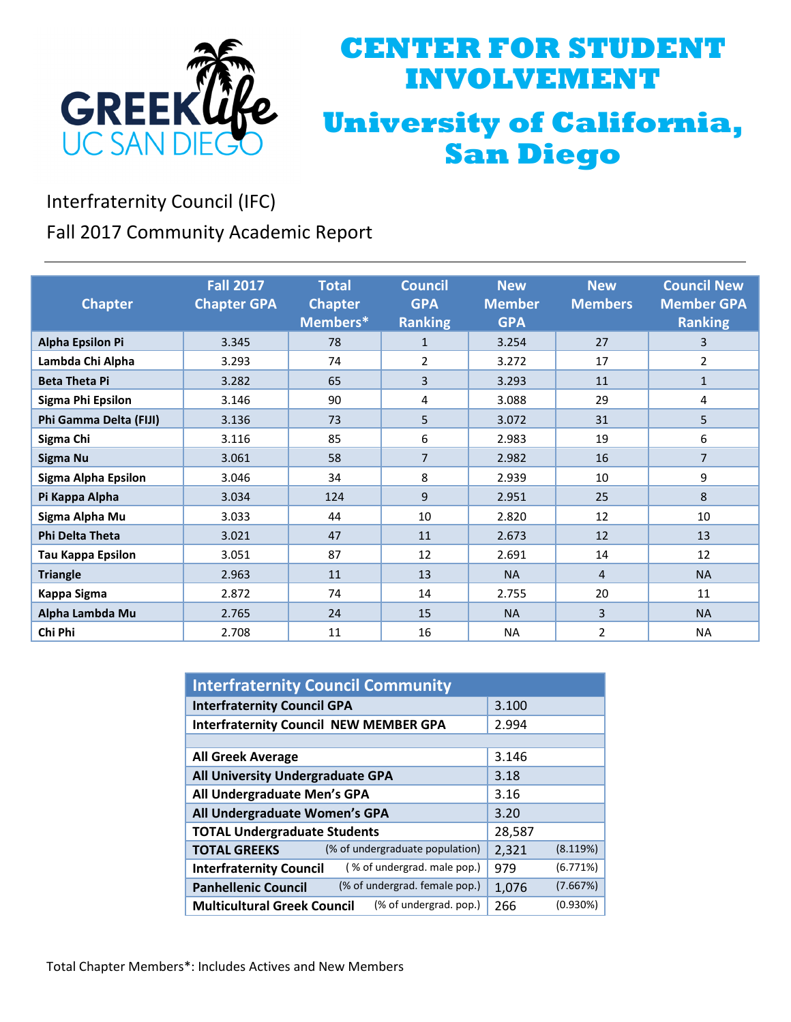

## **CENTER FOR STUDENT INVOLVEMENT University of California, San Diego**

Interfraternity Council (IFC)

Fall 2017 Community Academic Report

| <b>Chapter</b>           | <b>Fall 2017</b><br><b>Chapter GPA</b> | <b>Total</b><br><b>Chapter</b><br>Members* | <b>Council</b><br><b>GPA</b><br><b>Ranking</b> | <b>New</b><br><b>Member</b><br><b>GPA</b> | <b>New</b><br><b>Members</b> | <b>Council New</b><br><b>Member GPA</b><br><b>Ranking</b> |
|--------------------------|----------------------------------------|--------------------------------------------|------------------------------------------------|-------------------------------------------|------------------------------|-----------------------------------------------------------|
| Alpha Epsilon Pi         | 3.345                                  | 78                                         | $\mathbf{1}$                                   | 3.254                                     | 27                           | 3                                                         |
| Lambda Chi Alpha         | 3.293                                  | 74                                         | 2                                              | 3.272                                     | 17                           | $\overline{2}$                                            |
| <b>Beta Theta Pi</b>     | 3.282                                  | 65                                         | 3                                              | 3.293                                     | 11                           | $\mathbf{1}$                                              |
| <b>Sigma Phi Epsilon</b> | 3.146                                  | 90                                         | 4                                              | 3.088                                     | 29                           | 4                                                         |
| Phi Gamma Delta (FIJI)   | 3.136                                  | 73                                         | 5                                              | 3.072                                     | 31                           | 5                                                         |
| Sigma Chi                | 3.116                                  | 85                                         | 6                                              | 2.983                                     | 19                           | 6                                                         |
| Sigma Nu                 | 3.061                                  | 58                                         | $\overline{7}$                                 | 2.982                                     | 16                           | $\overline{7}$                                            |
| Sigma Alpha Epsilon      | 3.046                                  | 34                                         | 8                                              | 2.939                                     | 10                           | 9                                                         |
| Pi Kappa Alpha           | 3.034                                  | 124                                        | 9                                              | 2.951                                     | 25                           | 8                                                         |
| Sigma Alpha Mu           | 3.033                                  | 44                                         | 10                                             | 2.820                                     | 12                           | 10                                                        |
| <b>Phi Delta Theta</b>   | 3.021                                  | 47                                         | 11                                             | 2.673                                     | 12                           | 13                                                        |
| <b>Tau Kappa Epsilon</b> | 3.051                                  | 87                                         | 12                                             | 2.691                                     | 14                           | 12                                                        |
| <b>Triangle</b>          | 2.963                                  | 11                                         | 13                                             | <b>NA</b>                                 | 4                            | <b>NA</b>                                                 |
| Kappa Sigma              | 2.872                                  | 74                                         | 14                                             | 2.755                                     | 20                           | 11                                                        |
| Alpha Lambda Mu          | 2.765                                  | 24                                         | 15                                             | <b>NA</b>                                 | 3                            | <b>NA</b>                                                 |
| Chi Phi                  | 2.708                                  | 11                                         | 16                                             | <b>NA</b>                                 | $\overline{2}$               | <b>NA</b>                                                 |

| <b>Interfraternity Council Community</b>                      |        |          |  |  |  |
|---------------------------------------------------------------|--------|----------|--|--|--|
| <b>Interfraternity Council GPA</b>                            | 3.100  |          |  |  |  |
| <b>Interfraternity Council NEW MEMBER GPA</b>                 | 2.994  |          |  |  |  |
|                                                               |        |          |  |  |  |
| <b>All Greek Average</b>                                      | 3.146  |          |  |  |  |
| All University Undergraduate GPA                              | 3.18   |          |  |  |  |
| All Undergraduate Men's GPA                                   | 3.16   |          |  |  |  |
| All Undergraduate Women's GPA                                 | 3.20   |          |  |  |  |
| <b>TOTAL Undergraduate Students</b>                           | 28,587 |          |  |  |  |
| (% of undergraduate population)<br><b>TOTAL GREEKS</b>        | 2,321  | (8.119%) |  |  |  |
| (% of undergrad. male pop.)<br><b>Interfraternity Council</b> | 979    | (6.771%) |  |  |  |
| (% of undergrad. female pop.)<br><b>Panhellenic Council</b>   | 1,076  | (7.667%) |  |  |  |
| (% of undergrad. pop.)<br><b>Multicultural Greek Council</b>  | 266    | (0.930%) |  |  |  |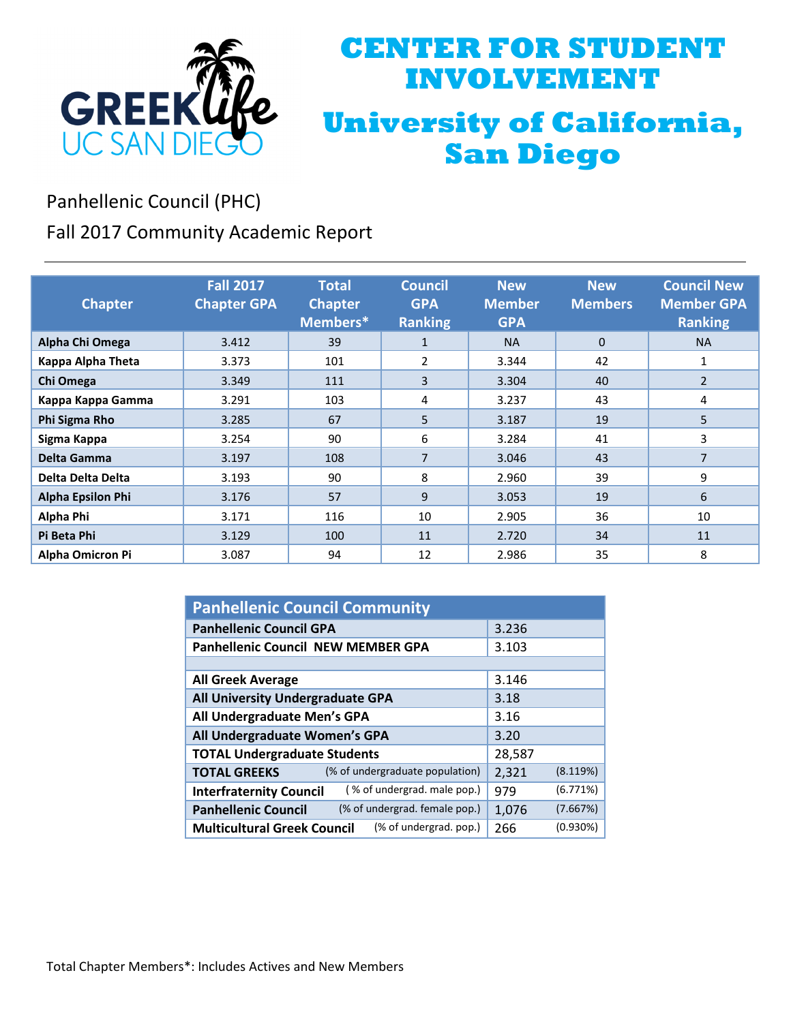

## **CENTER FOR STUDENT INVOLVEMENT University of California, San Diego**

Panhellenic Council (PHC)

Fall 2017 Community Academic Report

| <b>Chapter</b>           | <b>Fall 2017</b><br><b>Chapter GPA</b> | <b>Total</b><br><b>Chapter</b><br>Members* | <b>Council</b><br><b>GPA</b><br><b>Ranking</b> | <b>New</b><br><b>Member</b><br><b>GPA</b> | <b>New</b><br><b>Members</b> | <b>Council New</b><br><b>Member GPA</b><br><b>Ranking</b> |
|--------------------------|----------------------------------------|--------------------------------------------|------------------------------------------------|-------------------------------------------|------------------------------|-----------------------------------------------------------|
| Alpha Chi Omega          | 3.412                                  | 39                                         | $\mathbf{1}$                                   | <b>NA</b>                                 | $\mathbf{0}$                 | <b>NA</b>                                                 |
| Kappa Alpha Theta        | 3.373                                  | 101                                        | 2                                              | 3.344                                     | 42                           | 1                                                         |
| Chi Omega                | 3.349                                  | 111                                        | 3                                              | 3.304                                     | 40                           | $\overline{2}$                                            |
| Kappa Kappa Gamma        | 3.291                                  | 103                                        | 4                                              | 3.237                                     | 43                           | 4                                                         |
| Phi Sigma Rho            | 3.285                                  | 67                                         | 5                                              | 3.187                                     | 19                           | 5                                                         |
| Sigma Kappa              | 3.254                                  | 90                                         | 6                                              | 3.284                                     | 41                           | 3                                                         |
| Delta Gamma              | 3.197                                  | 108                                        | $\overline{7}$                                 | 3.046                                     | 43                           | 7                                                         |
| Delta Delta Delta        | 3.193                                  | 90                                         | 8                                              | 2.960                                     | 39                           | 9                                                         |
| <b>Alpha Epsilon Phi</b> | 3.176                                  | 57                                         | 9                                              | 3.053                                     | 19                           | 6                                                         |
| Alpha Phi                | 3.171                                  | 116                                        | 10                                             | 2.905                                     | 36                           | 10                                                        |
| Pi Beta Phi              | 3.129                                  | 100                                        | 11                                             | 2.720                                     | 34                           | 11                                                        |
| <b>Alpha Omicron Pi</b>  | 3.087                                  | 94                                         | 12                                             | 2.986                                     | 35                           | 8                                                         |

| <b>Panhellenic Council Community</b>                          |        |          |  |  |  |
|---------------------------------------------------------------|--------|----------|--|--|--|
| <b>Panhellenic Council GPA</b>                                | 3.236  |          |  |  |  |
| <b>Panhellenic Council NEW MEMBER GPA</b>                     | 3.103  |          |  |  |  |
|                                                               |        |          |  |  |  |
| <b>All Greek Average</b>                                      | 3.146  |          |  |  |  |
| All University Undergraduate GPA                              | 3.18   |          |  |  |  |
| All Undergraduate Men's GPA                                   | 3.16   |          |  |  |  |
| All Undergraduate Women's GPA                                 | 3.20   |          |  |  |  |
| <b>TOTAL Undergraduate Students</b>                           | 28,587 |          |  |  |  |
| (% of undergraduate population)<br><b>TOTAL GREEKS</b>        | 2,321  | (8.119%) |  |  |  |
| (% of undergrad. male pop.)<br><b>Interfraternity Council</b> | 979    | (6.771%) |  |  |  |
| (% of undergrad. female pop.)<br><b>Panhellenic Council</b>   | 1,076  | (7.667%) |  |  |  |
| (% of undergrad. pop.)<br><b>Multicultural Greek Council</b>  | 266    | (0.930%) |  |  |  |